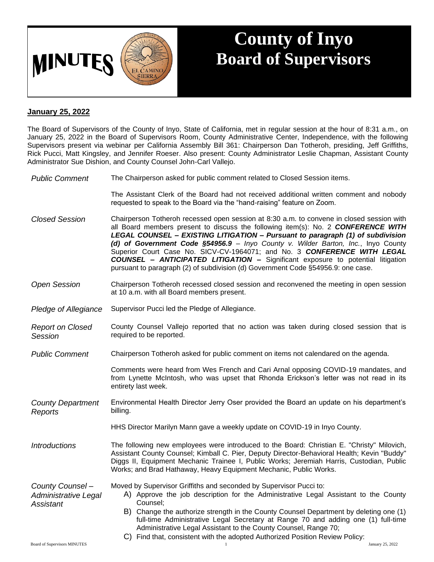

## **County of Inyo Board of Supervisors**

## **January 25, 2022**

The Board of Supervisors of the County of Inyo, State of California, met in regular session at the hour of 8:31 a.m., on January 25, 2022 in the Board of Supervisors Room, County Administrative Center, Independence, with the following Supervisors present via webinar per California Assembly Bill 361: Chairperson Dan Totheroh, presiding, Jeff Griffiths, Rick Pucci, Matt Kingsley, and Jennifer Roeser. Also present: County Administrator Leslie Chapman, Assistant County Administrator Sue Dishion, and County Counsel John-Carl Vallejo.

*Public Comment* The Chairperson asked for public comment related to Closed Session items.

The Assistant Clerk of the Board had not received additional written comment and nobody requested to speak to the Board via the "hand-raising" feature on Zoom.

- *Closed Session* Chairperson Totheroh recessed open session at 8:30 a.m. to convene in closed session with all Board members present to discuss the following item(s): No. 2 *CONFERENCE WITH LEGAL COUNSEL – EXISTING LITIGATION – Pursuant to paragraph (1) of subdivision (d) of Government Code §54956.9* – *Inyo County v. Wilder Barton, Inc.*, Inyo County Superior Court Case No. SICV-CV-1964071; and No. 3 *CONFERENCE WITH LEGAL COUNSEL – ANTICIPATED LITIGATION –* Significant exposure to potential litigation pursuant to paragraph (2) of subdivision (d) Government Code §54956.9: one case.
- *Open Session* Chairperson Totheroh recessed closed session and reconvened the meeting in open session at 10 a.m. with all Board members present.
- *Pledge of Allegiance* Supervisor Pucci led the Pledge of Allegiance.
- *Report on Closed Session* County Counsel Vallejo reported that no action was taken during closed session that is required to be reported.
- *Public Comment* Chairperson Totheroh asked for public comment on items not calendared on the agenda.

Comments were heard from Wes French and Cari Arnal opposing COVID-19 mandates, and from Lynette McIntosh, who was upset that Rhonda Erickson's letter was not read in its entirety last week.

*County Department Reports* Environmental Health Director Jerry Oser provided the Board an update on his department's billing.

HHS Director Marilyn Mann gave a weekly update on COVID-19 in Inyo County.

*Introductions* The following new employees were introduced to the Board: Christian E. "Christy" Milovich, Assistant County Counsel; Kimball C. Pier, Deputy Director-Behavioral Health; Kevin "Buddy" Diggs II, Equipment Mechanic Trainee I, Public Works; Jeremiah Harris, Custodian, Public Works; and Brad Hathaway, Heavy Equipment Mechanic, Public Works.

*County Counsel –* Moved by Supervisor Griffiths and seconded by Supervisor Pucci to:

- A) Approve the job description for the Administrative Legal Assistant to the County Counsel;
	- B) Change the authorize strength in the County Counsel Department by deleting one (1) full-time Administrative Legal Secretary at Range 70 and adding one (1) full-time Administrative Legal Assistant to the County Counsel, Range 70;

*Assistant*

*Administrative Legal* 

C) Find that, consistent with the adopted Authorized Position Review Policy: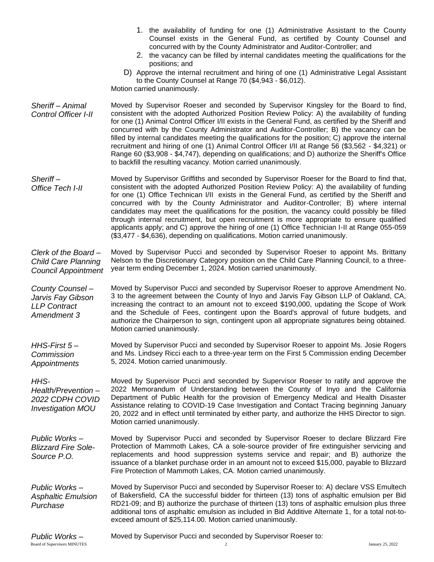- 1. the availability of funding for one (1) Administrative Assistant to the County Counsel exists in the General Fund, as certified by County Counsel and concurred with by the County Administrator and Auditor-Controller; and
- 2. the vacancy can be filled by internal candidates meeting the qualifications for the positions; and
- D) Approve the internal recruitment and hiring of one (1) Administrative Legal Assistant to the County Counsel at Range 70 (\$4,943 - \$6,012).

Motion carried unanimously.

*Sheriff – Animal Control Officer I-II* Moved by Supervisor Roeser and seconded by Supervisor Kingsley for the Board to find, consistent with the adopted Authorized Position Review Policy: A) the availability of funding for one (1) Animal Control Officer I/II exists in the General Fund, as certified by the Sheriff and concurred with by the County Administrator and Auditor-Controller; B) the vacancy can be filled by internal candidates meeting the qualifications for the position; C) approve the internal recruitment and hiring of one (1) Animal Control Officer I/II at Range 56 (\$3,562 - \$4,321) or Range 60 (\$3,908 - \$4,747), depending on qualifications; and D) authorize the Sheriff's Office to backfill the resulting vacancy. Motion carried unanimously.

*Sheriff – Office Tech I-II* Moved by Supervisor Griffiths and seconded by Supervisor Roeser for the Board to find that, consistent with the adopted Authorized Position Review Policy: A) the availability of funding for one (1) Office Technican I/II exists in the General Fund, as certified by the Sheriff and concurred with by the County Administrator and Auditor-Controller; B) where internal candidates may meet the qualifications for the position, the vacancy could possibly be filled through internal recruitment, but open recruitment is more appropriate to ensure qualified applicants apply; and C) approve the hiring of one (1) Office Technician I-II at Range 055-059 (\$3,477 - \$4,636), depending on qualifications. Motion carried unanimously.

*Clerk of the Board – Child Care Planning Council Appointment* Moved by Supervisor Pucci and seconded by Supervisor Roeser to appoint Ms. Brittany Nelson to the Discretionary Category position on the Child Care Planning Council, to a threeyear term ending December 1, 2024. Motion carried unanimously.

*County Counsel – Jarvis Fay Gibson LLP Contract Amendment 3* Moved by Supervisor Pucci and seconded by Supervisor Roeser to approve Amendment No. 3 to the agreement between the County of lnyo and Jarvis Fay Gibson LLP of Oakland, CA, increasing the contract to an amount not to exceed \$190,000, updating the Scope of Work and the Schedule of Fees, contingent upon the Board's approval of future budgets, and authorize the Chairperson to sign, contingent upon all appropriate signatures being obtained. Motion carried unanimously.

*HHS-First 5 – Commission Appointments* Moved by Supervisor Pucci and seconded by Supervisor Roeser to appoint Ms. Josie Rogers and Ms. Lindsey Ricci each to a three-year term on the First 5 Commission ending December 5, 2024. Motion carried unanimously.

*HHS-*

*Health/Prevention – 2022 CDPH COVID Investigation MOU*

Moved by Supervisor Pucci and seconded by Supervisor Roeser to ratify and approve the 2022 Memorandum of Understanding between the County of Inyo and the California Department of Public Health for the provision of Emergency Medical and Health Disaster Assistance relating to COVID-19 Case Investigation and Contact Tracing beginning January 20, 2022 and in effect until terminated by either party, and authorize the HHS Director to sign. Motion carried unanimously.

*Public Works – Blizzard Fire Sole-Source P.O.* Moved by Supervisor Pucci and seconded by Supervisor Roeser to declare Blizzard Fire Protection of Mammoth Lakes, CA a sole-source provider of fire extinguisher servicing and replacements and hood suppression systems service and repair; and B) authorize the issuance of a blanket purchase order in an amount not to exceed \$15,000, payable to Blizzard Fire Protection of Mammoth Lakes, CA. Motion carried unanimously.

*Public Works – Asphaltic Emulsion Purchase* Moved by Supervisor Pucci and seconded by Supervisor Roeser to: A) declare VSS Emultech of Bakersfield, CA the successful bidder for thirteen (13) tons of asphaltic emulsion per Bid RD21-09; and B) authorize the purchase of thirteen (13) tons of asphaltic emulsion plus three additional tons of asphaltic emulsion as included in Bid Additive Alternate 1, for a total not-toexceed amount of \$25,114.00. Motion carried unanimously.

*Public Works –* Moved by Supervisor Pucci and seconded by Supervisor Roeser to: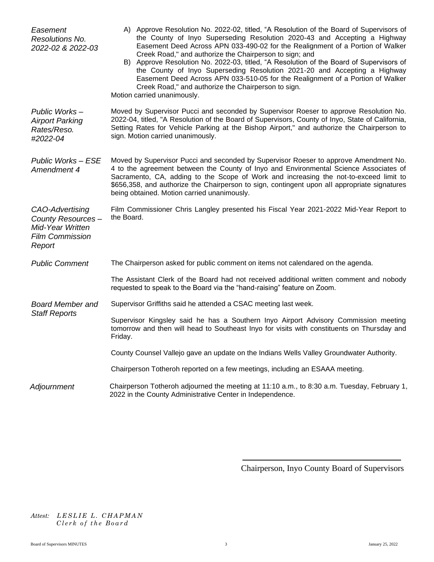| Easement<br>Resolutions No.<br>2022-02 & 2022-03                                                    | A) Approve Resolution No. 2022-02, titled, "A Resolution of the Board of Supervisors of<br>the County of Inyo Superseding Resolution 2020-43 and Accepting a Highway<br>Easement Deed Across APN 033-490-02 for the Realignment of a Portion of Walker<br>Creek Road," and authorize the Chairperson to sign; and<br>B) Approve Resolution No. 2022-03, titled, "A Resolution of the Board of Supervisors of<br>the County of Inyo Superseding Resolution 2021-20 and Accepting a Highway<br>Easement Deed Across APN 033-510-05 for the Realignment of a Portion of Walker<br>Creek Road," and authorize the Chairperson to sign.<br>Motion carried unanimously. |
|-----------------------------------------------------------------------------------------------------|-------------------------------------------------------------------------------------------------------------------------------------------------------------------------------------------------------------------------------------------------------------------------------------------------------------------------------------------------------------------------------------------------------------------------------------------------------------------------------------------------------------------------------------------------------------------------------------------------------------------------------------------------------------------|
| Public Works-<br><b>Airport Parking</b><br>Rates/Reso.<br>#2022-04                                  | Moved by Supervisor Pucci and seconded by Supervisor Roeser to approve Resolution No.<br>2022-04, titled, "A Resolution of the Board of Supervisors, County of Inyo, State of California,<br>Setting Rates for Vehicle Parking at the Bishop Airport," and authorize the Chairperson to<br>sign. Motion carried unanimously.                                                                                                                                                                                                                                                                                                                                      |
| <b>Public Works - ESE</b><br>Amendment 4                                                            | Moved by Supervisor Pucci and seconded by Supervisor Roeser to approve Amendment No.<br>4 to the agreement between the County of Inyo and Environmental Science Associates of<br>Sacramento, CA, adding to the Scope of Work and increasing the not-to-exceed limit to<br>\$656,358, and authorize the Chairperson to sign, contingent upon all appropriate signatures<br>being obtained. Motion carried unanimously.                                                                                                                                                                                                                                             |
| CAO-Advertising<br>County Resources-<br><b>Mid-Year Written</b><br><b>Film Commission</b><br>Report | Film Commissioner Chris Langley presented his Fiscal Year 2021-2022 Mid-Year Report to<br>the Board.                                                                                                                                                                                                                                                                                                                                                                                                                                                                                                                                                              |
| <b>Public Comment</b>                                                                               | The Chairperson asked for public comment on items not calendared on the agenda.                                                                                                                                                                                                                                                                                                                                                                                                                                                                                                                                                                                   |
|                                                                                                     | The Assistant Clerk of the Board had not received additional written comment and nobody<br>requested to speak to the Board via the "hand-raising" feature on Zoom.                                                                                                                                                                                                                                                                                                                                                                                                                                                                                                |
| <b>Board Member and</b><br><b>Staff Reports</b>                                                     | Supervisor Griffiths said he attended a CSAC meeting last week.                                                                                                                                                                                                                                                                                                                                                                                                                                                                                                                                                                                                   |
|                                                                                                     | Supervisor Kingsley said he has a Southern Inyo Airport Advisory Commission meeting<br>tomorrow and then will head to Southeast Inyo for visits with constituents on Thursday and<br>Friday.                                                                                                                                                                                                                                                                                                                                                                                                                                                                      |
|                                                                                                     | County Counsel Vallejo gave an update on the Indians Wells Valley Groundwater Authority.                                                                                                                                                                                                                                                                                                                                                                                                                                                                                                                                                                          |
|                                                                                                     | Chairperson Totheroh reported on a few meetings, including an ESAAA meeting.                                                                                                                                                                                                                                                                                                                                                                                                                                                                                                                                                                                      |
| Adjournment                                                                                         | Chairperson Totheroh adjourned the meeting at 11:10 a.m., to 8:30 a.m. Tuesday, February 1,<br>2022 in the County Administrative Center in Independence.                                                                                                                                                                                                                                                                                                                                                                                                                                                                                                          |

Chairperson, Inyo County Board of Supervisors